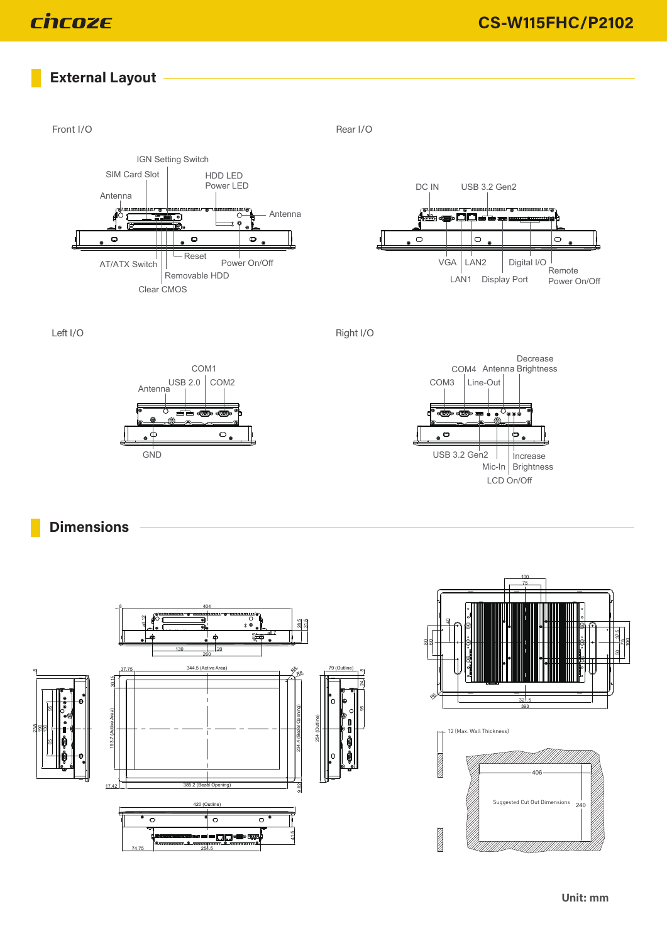# **External Layout**







 $\circ$ 

**GND** 

 $\phi$ 

Left I/O Right I/O



**Dimensions**





12 (Max. Wall Thickness)